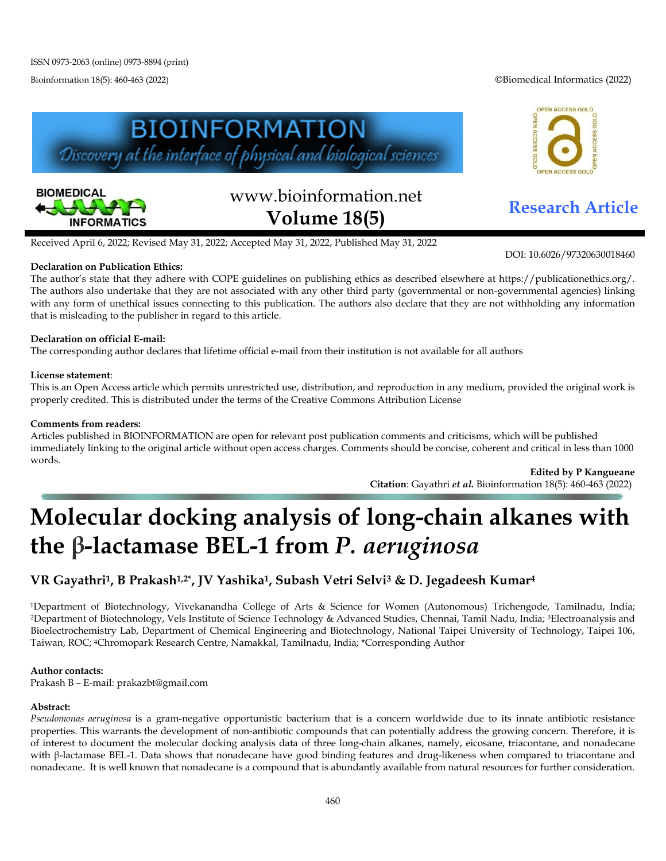Bioinformation 18(5): 460-463 (2022) ©Biomedical Informatics (2022)

OPEN ACCESS GOLD





# www.bioinformation.net **Research Article Volume 18(5)**

ACCESS GOI

DOI: 10.6026/97320630018460

Received April 6, 2022; Revised May 31, 2022; Accepted May 31, 2022, Published May 31, 2022

#### **Declaration on Publication Ethics:**

The author's state that they adhere with COPE guidelines on publishing ethics as described elsewhere at https://publicationethics.org/. The authors also undertake that they are not associated with any other third party (governmental or non-governmental agencies) linking with any form of unethical issues connecting to this publication. The authors also declare that they are not withholding any information that is misleading to the publisher in regard to this article.

#### **Declaration on official E-mail:**

The corresponding author declares that lifetime official e-mail from their institution is not available for all authors

#### **License statement**:

This is an Open Access article which permits unrestricted use, distribution, and reproduction in any medium, provided the original work is properly credited. This is distributed under the terms of the Creative Commons Attribution License

#### **Comments from readers:**

Articles published in BIOINFORMATION are open for relevant post publication comments and criticisms, which will be published immediately linking to the original article without open access charges. Comments should be concise, coherent and critical in less than 1000 words.

**Edited by P Kangueane Citation**: Gayathri *et al.* Bioinformation 18(5): 460-463 (2022)

## **Molecular docking analysis of long-chain alkanes with the β-lactamase BEL-1 from** *P. aeruginosa*

## **VR Gayathri1, B Prakash1,2\*, JV Yashika1, Subash Vetri Selvi3 & D. Jegadeesh Kumar4**

1Department of Biotechnology, Vivekanandha College of Arts & Science for Women (Autonomous) Trichengode, Tamilnadu, India; 2Department of Biotechnology, Vels Institute of Science Technology & Advanced Studies, Chennai, Tamil Nadu, India; 3Electroanalysis and Bioelectrochemistry Lab, Department of Chemical Engineering and Biotechnology, National Taipei University of Technology, Taipei 106, Taiwan, ROC; 4Chromopark Research Centre, Namakkal, Tamilnadu, India; \*Corresponding Author

#### **Author contacts:**

Prakash B – E-mail: prakazbt@gmail.com

#### **Abstract:**

*Pseudomonas aeruginosa* is a gram-negative opportunistic bacterium that is a concern worldwide due to its innate antibiotic resistance properties. This warrants the development of non-antibiotic compounds that can potentially address the growing concern. Therefore, it is of interest to document the molecular docking analysis data of three long-chain alkanes, namely, eicosane, triacontane, and nonadecane with β-lactamase BEL-1. Data shows that nonadecane have good binding features and drug-likeness when compared to triacontane and nonadecane. It is well known that nonadecane is a compound that is abundantly available from natural resources for further consideration.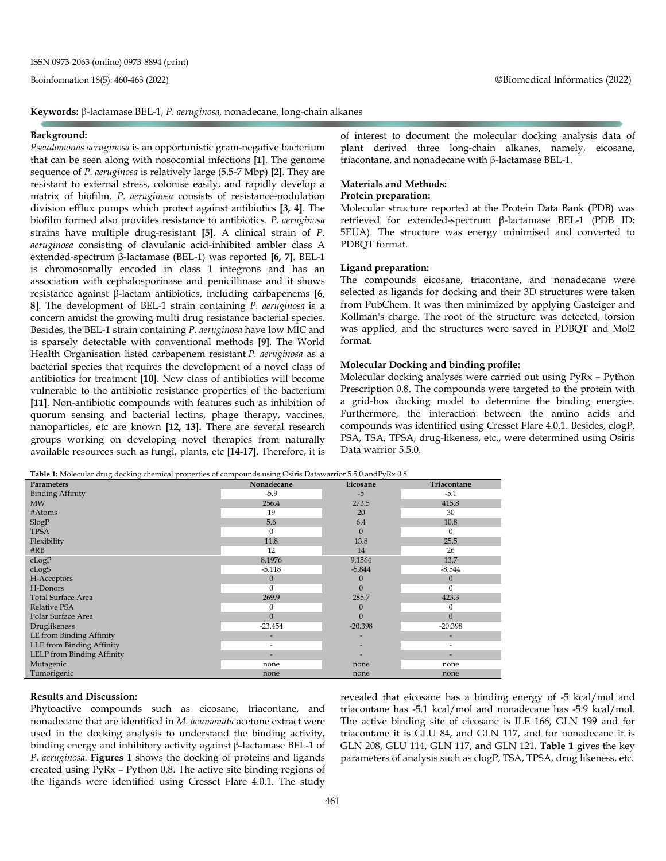**Keywords:** β-lactamase BEL-1, *P. aeruginosa,* nonadecane, long-chain alkanes

#### **Background:**

*Pseudomonas aeruginosa* is an opportunistic gram-negative bacterium that can be seen along with nosocomial infections **[1]**. The genome sequence of *P. aeruginosa* is relatively large (5.5-7 Mbp) **[2]**. They are resistant to external stress, colonise easily, and rapidly develop a matrix of biofilm. *P. aeruginosa* consists of resistance-nodulation division efflux pumps which protect against antibiotics **[3, 4]**. The biofilm formed also provides resistance to antibiotics. *P. aeruginosa* strains have multiple drug-resistant **[5]**. A clinical strain of *P. aeruginosa* consisting of clavulanic acid-inhibited ambler class A extended-spectrum β-lactamase (BEL-1) was reported **[6, 7]**. BEL-1 is chromosomally encoded in class 1 integrons and has an association with cephalosporinase and penicillinase and it shows resistance against β-lactam antibiotics, including carbapenems **[6, 8]**. The development of BEL-1 strain containing *P. aeruginosa* is a concern amidst the growing multi drug resistance bacterial species. Besides, the BEL-1 strain containing *P. aeruginosa* have low MIC and is sparsely detectable with conventional methods **[9]**. The World Health Organisation listed carbapenem resistant *P. aeruginosa* as a bacterial species that requires the development of a novel class of antibiotics for treatment **[10]**. New class of antibiotics will become vulnerable to the antibiotic resistance properties of the bacterium **[11]**. Non-antibiotic compounds with features such as inhibition of quorum sensing and bacterial lectins, phage therapy, vaccines, nanoparticles, etc are known **[12, 13].** There are several research groups working on developing novel therapies from naturally available resources such as fungi, plants, etc **[14-17]**. Therefore, it is of interest to document the molecular docking analysis data of plant derived three long-chain alkanes, namely, eicosane, triacontane, and nonadecane with β-lactamase BEL-1.

#### **Materials and Methods:**

#### **Protein preparation:**

Molecular structure reported at the Protein Data Bank (PDB) was retrieved for extended-spectrum β-lactamase BEL-1 (PDB ID: 5EUA). The structure was energy minimised and converted to PDBQT format.

#### **Ligand preparation:**

The compounds eicosane, triacontane, and nonadecane were selected as ligands for docking and their 3D structures were taken from PubChem. It was then minimized by applying Gasteiger and Kollman's charge. The root of the structure was detected, torsion was applied, and the structures were saved in PDBQT and Mol2 format.

#### **Molecular Docking and binding profile:**

Molecular docking analyses were carried out using PyRx – Python Prescription 0.8. The compounds were targeted to the protein with a grid-box docking model to determine the binding energies. Furthermore, the interaction between the amino acids and compounds was identified using Cresset Flare 4.0.1. Besides, clogP, PSA, TSA, TPSA, drug-likeness, etc., were determined using Osiris Data warrior 5.5.0.

**Table 1:** Molecular drug docking chemical properties of compounds using Osiris Datawarrior 5.5.0.andPyRx 0.8

| <b>Parameters</b>          | Nonadecane   | Eicosane         | Triacontane  |
|----------------------------|--------------|------------------|--------------|
| <b>Binding Affinity</b>    | $-5.9$       | $-5$             | $-5.1$       |
| <b>MW</b>                  | 256.4        | 273.5            | 415.8        |
| #Atoms                     | 19           | 20               | 30           |
| SlogP                      | 5.6          | 6.4              | 10.8         |
| <b>TPSA</b>                | $\mathbf{0}$ | $\theta$         | $\Omega$     |
| Flexibility                | 11.8         | 13.8             | 25.5         |
| $\#RB$                     | 12           | 14               | 26           |
| cLogP                      | 8.1976       | 9.1564           | 13.7         |
| cLogS                      | $-5.118$     | $-5.844$         | $-8.544$     |
| H-Acceptors                | $\mathbf{0}$ |                  | $\mathbf{0}$ |
| H-Donors                   | $\mathbf{0}$ | $\Omega$         | $\Omega$     |
| <b>Total Surface Area</b>  | 269.9        | 285.7            | 423.3        |
| <b>Relative PSA</b>        | $\mathbf{0}$ | $\left( \right)$ |              |
| Polar Surface Area         | $\mathbf{0}$ | $\overline{0}$   | $\mathbf{0}$ |
| Druglikeness               | $-23.454$    | $-20.398$        | $-20.398$    |
| LE from Binding Affinity   |              |                  |              |
| LLE from Binding Affinity  | -            |                  |              |
| LELP from Binding Affinity | -            |                  |              |
| Mutagenic                  | none         | none             | none         |
| Tumorigenic                | none         | none             | none         |

#### **Results and Discussion:**

Phytoactive compounds such as eicosane, triacontane, and nonadecane that are identified in *M. acumanata* acetone extract were used in the docking analysis to understand the binding activity, binding energy and inhibitory activity against β-lactamase BEL-1 of *P. aeruginosa.* **Figures 1** shows the docking of proteins and ligands created using PyRx – Python 0.8. The active site binding regions of the ligands were identified using Cresset Flare 4.0.1. The study

revealed that eicosane has a binding energy of -5 kcal/mol and triacontane has -5.1 kcal/mol and nonadecane has -5.9 kcal/mol. The active binding site of eicosane is ILE 166, GLN 199 and for triacontane it is GLU 84, and GLN 117, and for nonadecane it is GLN 208, GLU 114, GLN 117, and GLN 121. **Table 1** gives the key parameters of analysis such as clogP, TSA, TPSA, drug likeness, etc.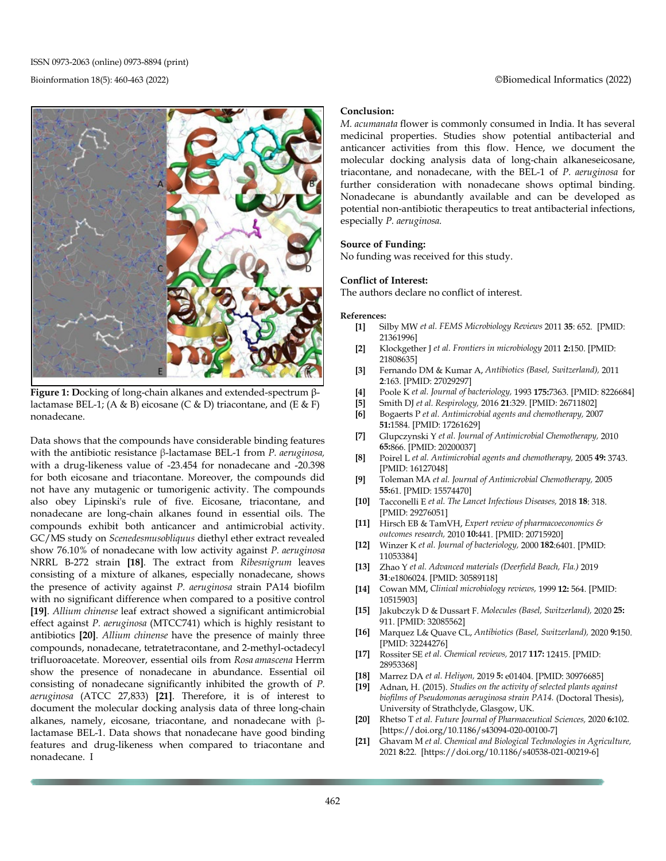ISSN 0973-2063 (online) 0973-8894 (print)



**Figure 1: D**ocking of long-chain alkanes and extended-spectrum βlactamase BEL-1; (A & B) eicosane (C & D) triacontane, and (E & F) nonadecane.

Data shows that the compounds have considerable binding features with the antibiotic resistance β-lactamase BEL-1 from *P. aeruginosa,*  with a drug-likeness value of -23.454 for nonadecane and -20.398 for both eicosane and triacontane. Moreover, the compounds did not have any mutagenic or tumorigenic activity. The compounds also obey Lipinski's rule of five. Eicosane, triacontane, and nonadecane are long-chain alkanes found in essential oils. The compounds exhibit both anticancer and antimicrobial activity. GC/MS study on *Scenedesmusobliquus* diethyl ether extract revealed show 76.10% of nonadecane with low activity against *P. aeruginosa* NRRL B-272 strain **[18]**. The extract from *Ribesnigrum* leaves consisting of a mixture of alkanes, especially nonadecane, shows the presence of activity against *P. aeruginosa* strain PA14 biofilm with no significant difference when compared to a positive control **[19]**. *Allium chinense* leaf extract showed a significant antimicrobial effect against *P. aeruginosa* (MTCC741) which is highly resistant to antibiotics **[20]**. *Allium chinense* have the presence of mainly three compounds, nonadecane, tetratetracontane, and 2-methyl-octadecyl trifluoroacetate. Moreover, essential oils from *Rosa amascena* Herrm show the presence of nonadecane in abundance. Essential oil consisting of nonadecane significantly inhibited the growth of *P. aeruginosa* (ATCC 27,833) **[21]**. Therefore, it is of interest to document the molecular docking analysis data of three long-chain alkanes, namely, eicosane, triacontane, and nonadecane with βlactamase BEL-1. Data shows that nonadecane have good binding features and drug-likeness when compared to triacontane and nonadecane. I

### Bioinformation 18(5): 460-463 (2022) ©Biomedical Informatics (2022)

#### **Conclusion:**

*M. acumanata* flower is commonly consumed in India. It has several medicinal properties. Studies show potential antibacterial and anticancer activities from this flow. Hence, we document the molecular docking analysis data of long-chain alkaneseicosane, triacontane, and nonadecane, with the BEL-1 of *P. aeruginosa* for further consideration with nonadecane shows optimal binding. Nonadecane is abundantly available and can be developed as potential non-antibiotic therapeutics to treat antibacterial infections, especially *P. aeruginosa.*

#### **Source of Funding:**

No funding was received for this study.

#### **Conflict of Interest:**

The authors declare no conflict of interest.

#### **References:**

- **[1]** Silby MW *et al. FEMS Microbiology Reviews* 2011 **35**: 652. [PMID: 21361996]
- **[2]** Klockgether J *et al. Frontiers in microbiology* 2011 **2:**150. [PMID: 21808635]
- **[3]** Fernando DM & Kumar A, *Antibiotics (Basel, Switzerland),* 2011 **2**:163. [PMID: 27029297]
- **[4]** Poole K *et al. Journal of bacteriology,* 1993 **175:**7363. [PMID: 8226684]
- **[5]** Smith DJ *et al. Respirology,* 2016 **21**:329. [PMID: 26711802] **[6]** Bogaerts P *et al. Antimicrobial agents and chemotherapy,* 2007
- **51:**1584. [PMID: 17261629]
- **[7]** Glupczynski Y *et al. Journal of Antimicrobial Chemotherapy,* 2010 **65:**866. [PMID: 20200037]
- **[8]** Poirel L *et al. Antimicrobial agents and chemotherapy,* 2005 **49:** 3743. [PMID: 16127048]
- **[9]** Toleman MA *et al. Journal of Antimicrobial Chemotherapy,* 2005 **55:**61. [PMID: 15574470]
- **[10]** Tacconelli E *et al. The Lancet Infectious Diseases,* 2018 **18**: 318. [PMID: 29276051]
- **[11]** Hirsch EB & TamVH, *Expert review of pharmacoeconomics & outcomes research,* 2010 **10:**441. [PMID: 20715920]
- **[12]** Winzer K *et al. Journal of bacteriology,* 2000 **182**:6401. [PMID: 11053384]
- **[13]** Zhao Y *et al. Advanced materials (Deerfield Beach, Fla.)* 2019 **31**:e1806024. [PMID: 30589118]
- **[14]** Cowan MM, *Clinical microbiology reviews,* 1999 **12:** 564. [PMID: 10515903]
- **[15]** Jakubczyk D & Dussart F. *Molecules (Basel, Switzerland),* 2020 **25:** 911. [PMID: 32085562]
- **[16]** Marquez L& Quave CL, *Antibiotics (Basel, Switzerland),* 2020 **9:**150. [PMID: 32244276]
- **[17]** Rossiter SE *et al. Chemical reviews,* 2017 **117:** 12415. [PMID: 28953368]
- **[18]** Marrez DA *et al. Heliyon,* 2019 **5:** e01404. [PMID: 30976685]
- **[19]** Adnan, H. (2015). *Studies on the activity of selected plants against biofilms of Pseudomonas aeruginosa strain PA14.* (Doctoral Thesis), University of Strathclyde, Glasgow, UK.
- **[20]** Rhetso T *et al. Future Journal of Pharmaceutical Sciences,* 2020 **6:**102. [https://doi.org/10.1186/s43094-020-00100-7]
- **[21]** Ghavam M *et al. Chemical and Biological Technologies in Agriculture,*  2021 **8:**22. [https://doi.org/10.1186/s40538-021-00219-6]